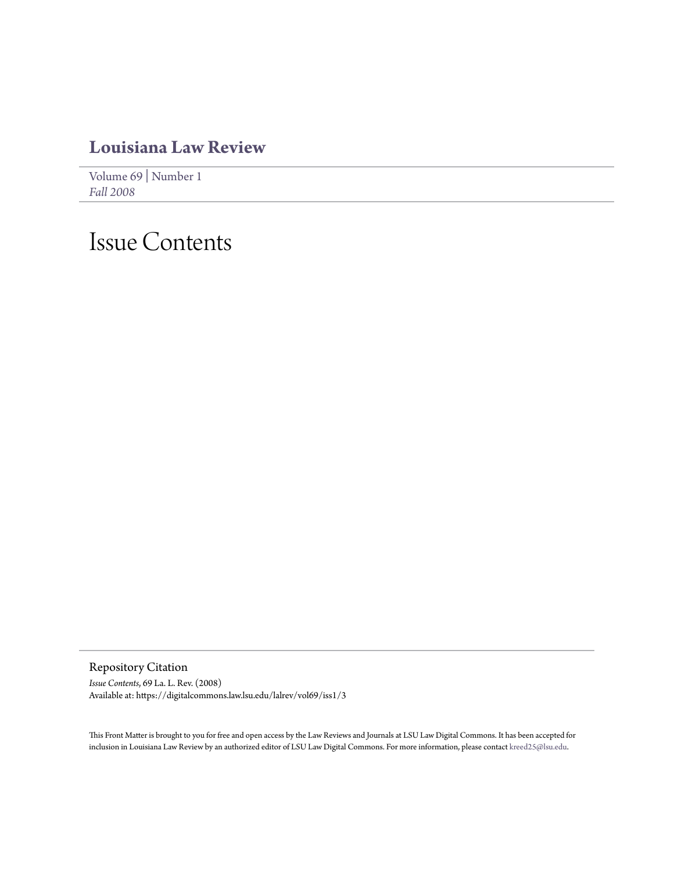# **[Louisiana Law Review](https://digitalcommons.law.lsu.edu/lalrev)**

[Volume 69](https://digitalcommons.law.lsu.edu/lalrev/vol69) | [Number 1](https://digitalcommons.law.lsu.edu/lalrev/vol69/iss1) *[Fall 2008](https://digitalcommons.law.lsu.edu/lalrev/vol69/iss1)*

# Issue Contents

Repository Citation

*Issue Contents*, 69 La. L. Rev. (2008) Available at: https://digitalcommons.law.lsu.edu/lalrev/vol69/iss1/3

This Front Matter is brought to you for free and open access by the Law Reviews and Journals at LSU Law Digital Commons. It has been accepted for inclusion in Louisiana Law Review by an authorized editor of LSU Law Digital Commons. For more information, please contact [kreed25@lsu.edu](mailto:kreed25@lsu.edu).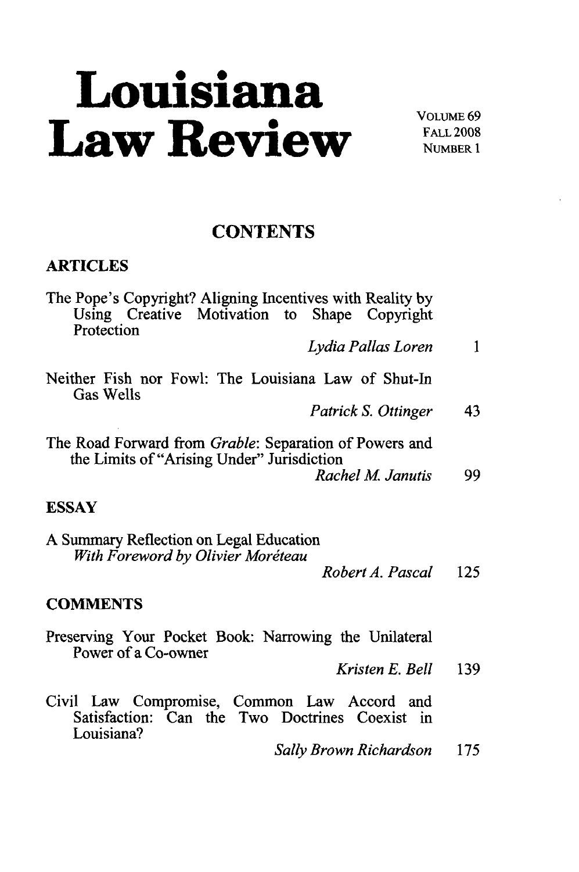# **Louisiana** Law Review **Review**

## **CONTENTS**

### **ARTICLES**

| The Pope's Copyright? Aligning Incentives with Reality by<br>Using Creative Motivation to Shape Copyright<br>Protection |     |
|-------------------------------------------------------------------------------------------------------------------------|-----|
| Lydia Pallas Loren                                                                                                      | 1   |
| Neither Fish nor Fowl: The Louisiana Law of Shut-In<br><b>Gas Wells</b>                                                 |     |
| Patrick S. Ottinger                                                                                                     | 43  |
| The Road Forward from Grable: Separation of Powers and<br>the Limits of "Arising Under" Jurisdiction                    |     |
| Rachel M. Janutis                                                                                                       | 99  |
| <b>ESSAY</b>                                                                                                            |     |
| A Summary Reflection on Legal Education<br>With Foreword by Olivier Moréteau                                            |     |
| Robert A. Pascal                                                                                                        | 125 |
| <b>COMMENTS</b>                                                                                                         |     |
| Preserving Your Pocket Book: Narrowing the Unilateral<br>Power of a Co-owner                                            |     |
| Kristen E. Bell                                                                                                         | 139 |
| Civil Law Compromise, Common Law Accord and<br>Satisfaction: Can the Two Doctrines Coexist in<br>Louisiana?             |     |

*Sally Brown Richardson* 175